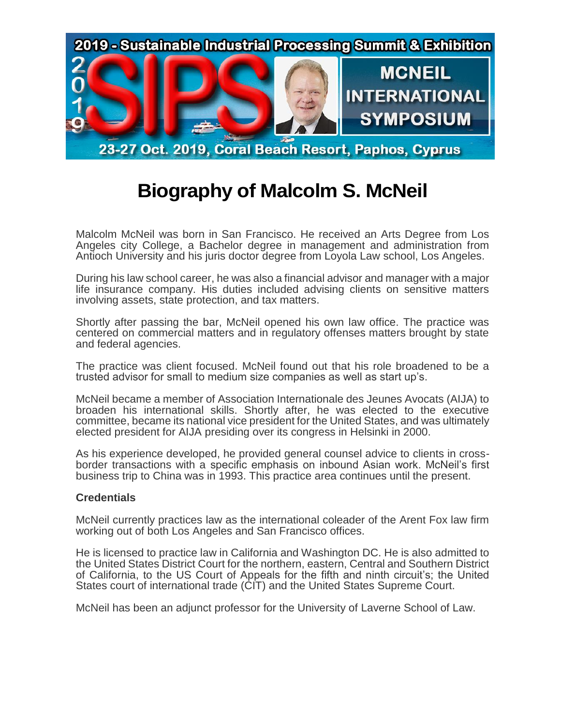

## **Biography of Malcolm S. McNeil**

Malcolm McNeil was born in San Francisco. He received an Arts Degree from Los Angeles city College, a Bachelor degree in management and administration from Antioch University and his juris doctor degree from Loyola Law school, Los Angeles.

During his law school career, he was also a financial advisor and manager with a major life insurance company. His duties included advising clients on sensitive matters involving assets, state protection, and tax matters.

Shortly after passing the bar, McNeil opened his own law office. The practice was centered on commercial matters and in regulatory offenses matters brought by state and federal agencies.

The practice was client focused. McNeil found out that his role broadened to be a trusted advisor for small to medium size companies as well as start up's.

McNeil became a member of Association Internationale des Jeunes Avocats (AIJA) to broaden his international skills. Shortly after, he was elected to the executive committee, became its national vice president for the United States, and was ultimately elected president for AIJA presiding over its congress in Helsinki in 2000.

As his experience developed, he provided general counsel advice to clients in crossborder transactions with a specific emphasis on inbound Asian work. McNeil's first business trip to China was in 1993. This practice area continues until the present.

## **Credentials**

McNeil currently practices law as the international coleader of the Arent Fox law firm working out of both Los Angeles and San Francisco offices.

He is licensed to practice law in California and Washington DC. He is also admitted to the United States District Court for the northern, eastern, Central and Southern District of California, to the US Court of Appeals for the fifth and ninth circuit's; the United States court of international trade (CIT) and the United States Supreme Court.

McNeil has been an adjunct professor for the University of Laverne School of Law.